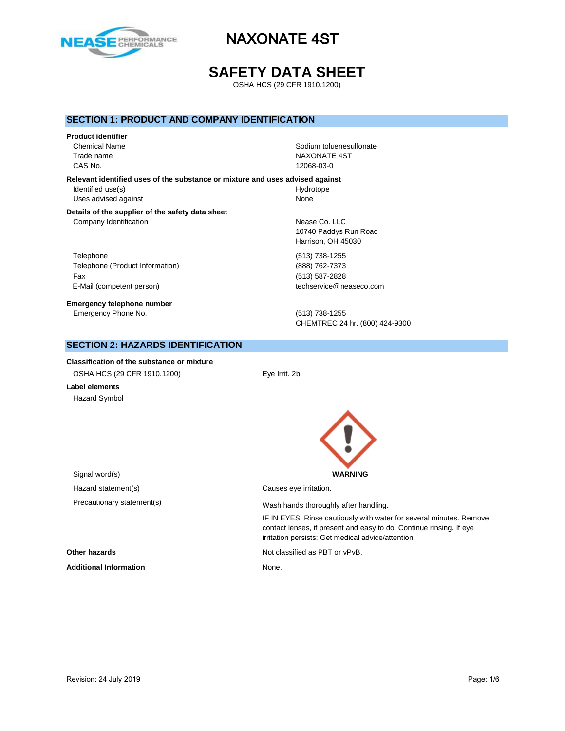

# **SAFETY DATA SHEET**

OSHA HCS (29 CFR 1910.1200)

## **SECTION 1: PRODUCT AND COMPANY IDENTIFICATION**

#### **Product identifier**

CAS No. 12068-03-0

Chemical Name **Solution Chemical Name** Sodium toluenesulfonate Trade name NAXONATE 4ST

**Relevant identified uses of the substance or mixture and uses advised against** Identified use(s) and the extent of the Hydrotope Hydrotope Uses advised against None

#### **Details of the supplier of the safety data sheet** Company Identification **Nearly 19** Nease Co. LLC

Telephone (513) 738-1255 Telephone (Product Information) (888) 762-7373 Fax (513) 587-2828 E-Mail (competent person) example a second techservice@neaseco.com

**Emergency telephone number** Emergency Phone No. (513) 738-1255

10740 Paddys Run Road Harrison, OH 45030

CHEMTREC 24 hr. (800) 424-9300

## **SECTION 2: HAZARDS IDENTIFICATION**

**Classification of the substance or mixture** OSHA HCS (29 CFR 1910.1200) Eye Irrit. 2b

**Label elements** Hazard Symbol



irritation persists: Get medical advice/attention.

IF IN EYES: Rinse cautiously with water for several minutes. Remove contact lenses, if present and easy to do. Continue rinsing. If eye

Signal word(s) **WARNING** Hazard statement(s) example a control causes eye irritation. Precautionary statement(s) example a wash hands thoroughly after handling.

**Other hazards Not classified as PBT or vPvB.** 

Additional Information **None.** None.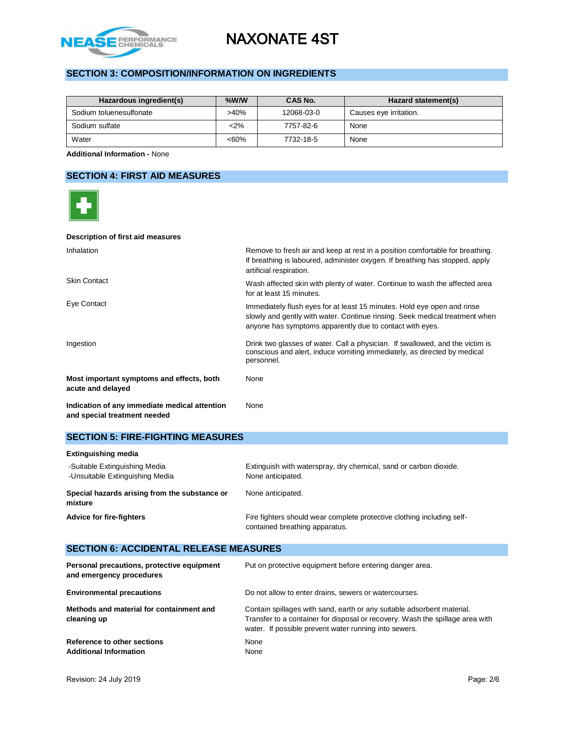

# **SECTION 3: COMPOSITION/INFORMATION ON INGREDIENTS**

| Hazardous ingredient(s) | $%$ W/W | CAS No.    | Hazard statement(s)    |
|-------------------------|---------|------------|------------------------|
| Sodium toluenesulfonate | $>40\%$ | 12068-03-0 | Causes eye irritation. |
| Sodium sulfate          | $2\%$   | 7757-82-6  | None                   |
| Water                   | $<60\%$ | 7732-18-5  | None                   |

**Additional Information -** None

# **SECTION 4: FIRST AID MEASURES**

| Description of first aid measures                                             |                                                                                                                                                                                                                    |
|-------------------------------------------------------------------------------|--------------------------------------------------------------------------------------------------------------------------------------------------------------------------------------------------------------------|
| Inhalation                                                                    | Remove to fresh air and keep at rest in a position comfortable for breathing.<br>If breathing is laboured, administer oxygen. If breathing has stopped, apply<br>artificial respiration.                           |
| <b>Skin Contact</b>                                                           | Wash affected skin with plenty of water. Continue to wash the affected area<br>for at least 15 minutes.                                                                                                            |
| Eye Contact                                                                   | Immediately flush eyes for at least 15 minutes. Hold eye open and rinse<br>slowly and gently with water. Continue rinsing. Seek medical treatment when<br>anyone has symptoms apparently due to contact with eyes. |
| Ingestion                                                                     | Drink two glasses of water. Call a physician. If swallowed, and the victim is<br>conscious and alert, induce vomiting immediately, as directed by medical<br>personnel.                                            |
| Most important symptoms and effects, both<br>acute and delayed                | <b>None</b>                                                                                                                                                                                                        |
| Indication of any immediate medical attention<br>and special treatment needed | None                                                                                                                                                                                                               |

# **SECTION 5: FIRE-FIGHTING MEASURES**

| <b>Extinguishing media</b>                                       |                                                                                                          |
|------------------------------------------------------------------|----------------------------------------------------------------------------------------------------------|
| -Suitable Extinguishing Media<br>-Unsuitable Extinguishing Media | Extinguish with waterspray, dry chemical, sand or carbon dioxide.<br>None anticipated.                   |
| Special hazards arising from the substance or<br>mixture         | None anticipated.                                                                                        |
| <b>Advice for fire-fighters</b>                                  | Fire fighters should wear complete protective clothing including self-<br>contained breathing apparatus. |

# **SECTION 6: ACCIDENTAL RELEASE MEASURES**

| Personal precautions, protective equipment<br>and emergency procedures | Put on protective equipment before entering danger area.                                                                                                                                                         |
|------------------------------------------------------------------------|------------------------------------------------------------------------------------------------------------------------------------------------------------------------------------------------------------------|
| <b>Environmental precautions</b>                                       | Do not allow to enter drains, sewers or watercourses.                                                                                                                                                            |
| Methods and material for containment and<br>cleaning up                | Contain spillages with sand, earth or any suitable adsorbent material.<br>Transfer to a container for disposal or recovery. Wash the spillage area with<br>water. If possible prevent water running into sewers. |
| Reference to other sections<br><b>Additional Information</b>           | None<br>None                                                                                                                                                                                                     |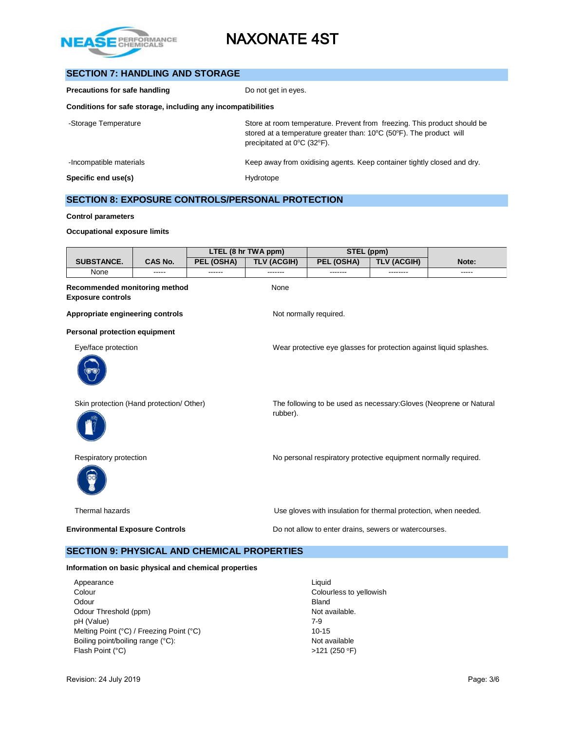

# **SECTION 7: HANDLING AND STORAGE**

| Precautions for safe handling                                | Do not get in eyes.                                                                                                                                                                                 |
|--------------------------------------------------------------|-----------------------------------------------------------------------------------------------------------------------------------------------------------------------------------------------------|
| Conditions for safe storage, including any incompatibilities |                                                                                                                                                                                                     |
| -Storage Temperature                                         | Store at room temperature. Prevent from freezing. This product should be<br>stored at a temperature greater than: 10°C (50°F). The product will<br>precipitated at $0^{\circ}$ C (32 $^{\circ}$ F). |
| -Incompatible materials                                      | Keep away from oxidising agents. Keep container tightly closed and dry.                                                                                                                             |
| Specific end use(s)                                          | Hydrotope                                                                                                                                                                                           |

# **SECTION 8: EXPOSURE CONTROLS/PERSONAL PROTECTION**

#### **Control parameters**

#### **Occupational exposure limits**

| LTEL (8 hr TWA ppm)                                       |                |            |                    | STEL (ppm)                                                          |                    |                                                                    |
|-----------------------------------------------------------|----------------|------------|--------------------|---------------------------------------------------------------------|--------------------|--------------------------------------------------------------------|
| <b>SUBSTANCE.</b>                                         | <b>CAS No.</b> | PEL (OSHA) | <b>TLV (ACGIH)</b> | PEL (OSHA)                                                          | <b>TLV (ACGIH)</b> | Note:                                                              |
| None                                                      | -----          | ------     | -------            | -------                                                             | --------           | -----                                                              |
| Recommended monitoring method<br><b>Exposure controls</b> |                |            | None               |                                                                     |                    |                                                                    |
| Appropriate engineering controls                          |                |            |                    | Not normally required.                                              |                    |                                                                    |
| <b>Personal protection equipment</b>                      |                |            |                    |                                                                     |                    |                                                                    |
| Eye/face protection                                       |                |            |                    | Wear protective eye glasses for protection against liquid splashes. |                    |                                                                    |
|                                                           |                |            |                    |                                                                     |                    |                                                                    |
| Skin protection (Hand protection/ Other)                  |                |            | rubber).           |                                                                     |                    | The following to be used as necessary: Gloves (Neoprene or Natural |
| Respiratory protection                                    |                |            |                    | No personal respiratory protective equipment normally required.     |                    |                                                                    |
| Thermal hazards                                           |                |            |                    | Use gloves with insulation for thermal protection, when needed.     |                    |                                                                    |
| <b>Environmental Exposure Controls</b>                    |                |            |                    | Do not allow to enter drains, sewers or watercourses.               |                    |                                                                    |

## **SECTION 9: PHYSICAL AND CHEMICAL PROPERTIES**

#### **Information on basic physical and chemical properties**

| Appearance                               | Liauid                  |
|------------------------------------------|-------------------------|
| Colour                                   | Colourless to yellowish |
| Odour                                    | <b>Bland</b>            |
| Odour Threshold (ppm)                    | Not available.          |
| pH (Value)                               | $7-9$                   |
| Melting Point (°C) / Freezing Point (°C) | $10-15$                 |
| Boiling point/boiling range (°C):        | Not available           |
| Flash Point (°C)                         | $>121$ (250 °F)         |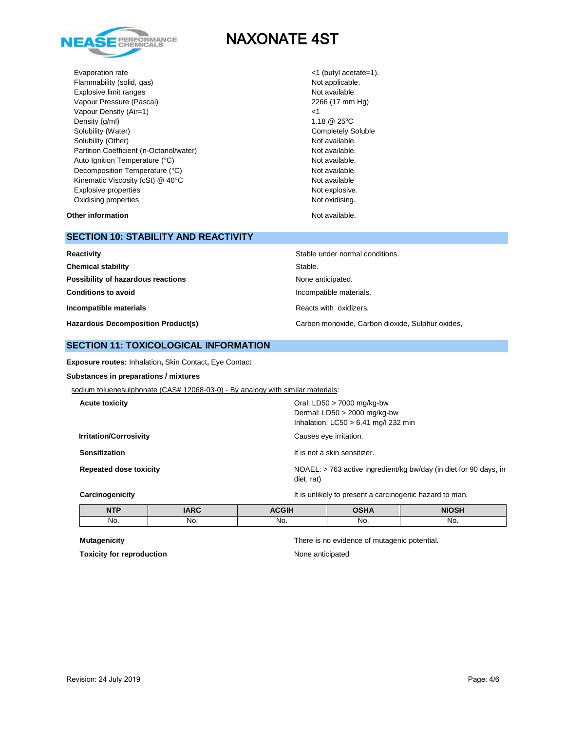

Evaporation rate  $\langle 1 \rangle$  (butyl acetate=1). Flammability (solid, gas) Not applicable. Explosive limit ranges **Not available**. Vapour Pressure (Pascal) 2266 (17 mm Hg) Vapour Density (Air=1)  $\leq$  25°C<br>Density (g/ml) 1.18 @ 25°C Density (g/ml) Solubility (Water) Completely Soluble Solubility (Other) Not available. Partition Coefficient (n-Octanol/water) Not available. Auto Ignition Temperature (°C) and the control of the Not available. Decomposition Temperature (°C) Not available. Kinematic Viscosity (cSt) @ 40°C Not available Not available Explosive properties Not explosive. Oxidising properties **Not oxidising** properties Not oxidising.

**Other information Not available. Other information** 

# **SECTION 10: STABILITY AND REACTIVITY**

| Reactivity                                | Stable under normal conditions.                  |
|-------------------------------------------|--------------------------------------------------|
| <b>Chemical stability</b>                 | Stable.                                          |
| Possibility of hazardous reactions        | None anticipated.                                |
| <b>Conditions to avoid</b>                | Incompatible materials.                          |
| Incompatible materials                    | Reacts with oxidizers.                           |
| <b>Hazardous Decomposition Product(s)</b> | Carbon monoxide, Carbon dioxide, Sulphur oxides, |

## **SECTION 11: TOXICOLOGICAL INFORMATION**

**Exposure routes:** Inhalation**,** Skin Contact**,** Eye Contact

### **Substances in preparations / mixtures**

sodium toluenesulphonate (CAS# 12068-03-0) - By analogy with similar materials:

| <b>Acute toxicity</b>         | Oral: $LD50 > 7000$ mg/kg-bw<br>Dermal: $LD50 > 2000$ mg/kg-bw<br>Inhalation: $LC50 > 6.41$ mg/l 232 min |
|-------------------------------|----------------------------------------------------------------------------------------------------------|
| <b>Irritation/Corrosivity</b> | Causes eye irritation.                                                                                   |
| <b>Sensitization</b>          | It is not a skin sensitizer.                                                                             |
| <b>Repeated dose toxicity</b> | NOAEL: > 763 active ingredient/kg bw/day (in diet for 90 days, in<br>diet, rat)                          |

#### **Carcinogenicity Carcinogenicity It is unlikely to present a carcinogenic hazard to man.**

| <b>NTP</b> | ADC | 20011 | <b>OUIA</b> | <b>NIOSH</b> |
|------------|-----|-------|-------------|--------------|
| NO.        | No. | NO.   | No.         | No.          |

**Toxicity for reproduction** None anticipated

**Mutagenicity** There is no evidence of mutagenic potential.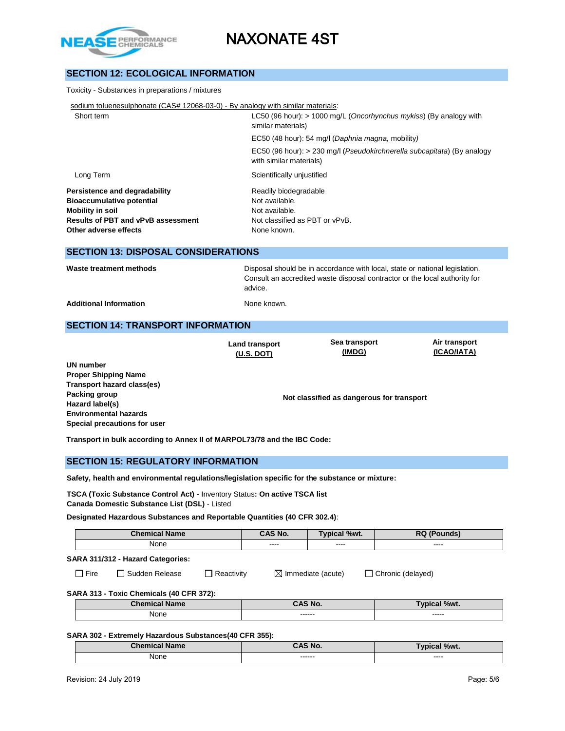

# **SECTION 12: ECOLOGICAL INFORMATION**

| Toxicity - Substances in preparations / mixtures                                                                                                                   |                                                                                                                                                                      |  |  |  |
|--------------------------------------------------------------------------------------------------------------------------------------------------------------------|----------------------------------------------------------------------------------------------------------------------------------------------------------------------|--|--|--|
| sodium toluenesulphonate (CAS# 12068-03-0) - By analogy with similar materials:                                                                                    |                                                                                                                                                                      |  |  |  |
| Short term                                                                                                                                                         | LC50 (96 hour): $> 1000$ mg/L (Oncorhynchus mykiss) (By analogy with<br>similar materials)                                                                           |  |  |  |
|                                                                                                                                                                    | EC50 (48 hour): 54 mg/l (Daphnia magna, mobility)                                                                                                                    |  |  |  |
|                                                                                                                                                                    | EC50 (96 hour): > 230 mg/l (Pseudokirchnerella subcapitata) (By analogy<br>with similar materials)                                                                   |  |  |  |
| Long Term                                                                                                                                                          | Scientifically unjustified                                                                                                                                           |  |  |  |
| Persistence and degradability<br><b>Bioaccumulative potential</b><br><b>Mobility in soil</b><br><b>Results of PBT and vPvB assessment</b><br>Other adverse effects | Readily biodegradable<br>Not available.<br>Not available.<br>Not classified as PBT or vPvB.<br>None known.                                                           |  |  |  |
| <b>SECTION 13: DISPOSAL CONSIDERATIONS</b>                                                                                                                         |                                                                                                                                                                      |  |  |  |
| Waste treatment methods                                                                                                                                            | Disposal should be in accordance with local, state or national legislation.<br>Consult an accredited waste disposal contractor or the local authority for<br>advice. |  |  |  |
| <b>Additional Information</b>                                                                                                                                      | None known.                                                                                                                                                          |  |  |  |

## **SECTION 14: TRANSPORT INFORMATION**

**Land transport (U.S. DOT)**

**Sea transport (IMDG)**

**Air transport (ICAO/IATA)**

**UN number Proper Shipping Name Transport hazard class(es) Packing group Hazard label(s) Environmental hazards Special precautions for user**

**Not classified as dangerous for transport**

**Transport in bulk according to Annex II of MARPOL73/78 and the IBC Code:** 

### **SECTION 15: REGULATORY INFORMATION**

**Safety, health and environmental regulations/legislation specific for the substance or mixture:**

**TSCA (Toxic Substance Control Act) -** Inventory Status**: On active TSCA list Canada Domestic Substance List (DSL)** - Listed

**Designated Hazardous Substances and Reportable Quantities (40 CFR 302.4)**:

| <b>Chemical Name</b> |                                   | CAS No.    | <b>Typical %wt.</b> | <b>RQ (Pounds)</b>            |                   |
|----------------------|-----------------------------------|------------|---------------------|-------------------------------|-------------------|
| None                 |                                   | ----       | $\frac{1}{2}$       | ----                          |                   |
|                      | SARA 311/312 - Hazard Categories: |            |                     |                               |                   |
| Fire                 | l Sudden Release                  | Reactivity |                     | $\boxtimes$ Immediate (acute) | Chronic (delayed) |

**SARA 313 - Toxic Chemicals (40 CFR 372):** 

| <b>Chemical Name</b> | `AS No.            | %wt.            |  |
|----------------------|--------------------|-----------------|--|
| None                 | -------<br>------- | -----<br>------ |  |

#### **SARA 302 - Extremely Hazardous Substances(40 CFR 355):**

| <b>Chamin</b><br><b>Name</b> | $\sim$ AC No.       | %wt.<br>- ---<br>-01 |
|------------------------------|---------------------|----------------------|
| None<br>$\sim$ $\sim$ $\sim$ | -------<br>-------- | ----<br>_____        |